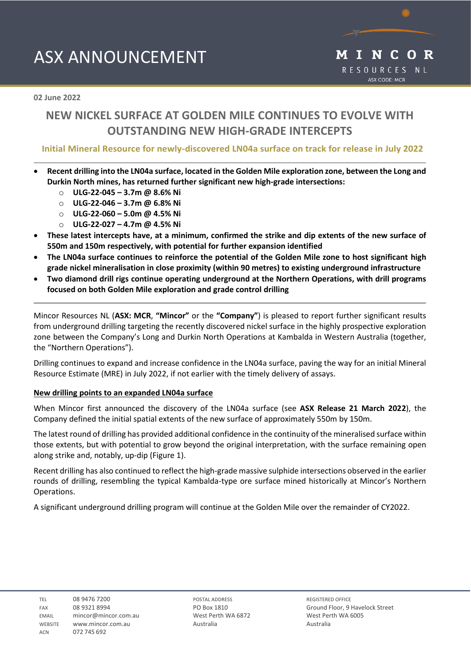# ASX ANNOUNCEMENT



**02 June 2022** 

# **NEW NICKEL SURFACE AT GOLDEN MILE CONTINUES TO EVOLVE WITH OUTSTANDING NEW HIGH-GRADE INTERCEPTS**

### **Initial Mineral Resource for newly-discovered LN04a surface on track for release in July 2022**

- **Recent drilling into the LN04a surface, located in the Golden Mile exploration zone, between the Long and Durkin North mines, has returned further significant new high-grade intersections:**
	- o **ULG-22-045 – 3.7m @ 8.6% Ni**
	- o **ULG-22-046 – 3.7m @ 6.8% Ni**
	- o **ULG-22-060 – 5.0m @ 4.5% Ni**
	- o **ULG-22-027 – 4.7m @ 4.5% Ni**
- **These latest intercepts have, at a minimum, confirmed the strike and dip extents of the new surface of 550m and 150m respectively, with potential for further expansion identified**
- **The LN04a surface continues to reinforce the potential of the Golden Mile zone to host significant high grade nickel mineralisation in close proximity (within 90 metres) to existing underground infrastructure**
- **Two diamond drill rigs continue operating underground at the Northern Operations, with drill programs focused on both Golden Mile exploration and grade control drilling**

Mincor Resources NL (**ASX: MCR**, **"Mincor"** or the **"Company"**) is pleased to report further significant results from underground drilling targeting the recently discovered nickel surface in the highly prospective exploration zone between the Company's Long and Durkin North Operations at Kambalda in Western Australia (together, the "Northern Operations").

Drilling continues to expand and increase confidence in the LN04a surface, paving the way for an initial Mineral Resource Estimate (MRE) in July 2022, if not earlier with the timely delivery of assays.

### **New drilling points to an expanded LN04a surface**

When Mincor first announced the discovery of the LN04a surface (see **ASX Release 21 March 2022**), the Company defined the initial spatial extents of the new surface of approximately 550m by 150m.

The latest round of drilling has provided additional confidence in the continuity of the mineralised surface within those extents, but with potential to grow beyond the original interpretation, with the surface remaining open along strike and, notably, up-dip (Figure 1).

Recent drilling has also continued to reflect the high-grade massive sulphide intersections observed in the earlier rounds of drilling, resembling the typical Kambalda-type ore surface mined historically at Mincor's Northern Operations.

A significant underground drilling program will continue at the Golden Mile over the remainder of CY2022.

TEL 08 9476 7200 FAX 08 9321 8994 EMAIL mincor@mincor.com.au WEBSITE www.mincor.com.au ACN 072 745 692

POSTAL ADDRESS PO Box 1810 West Perth WA 6872 Australia

REGISTERED OFFICE Ground Floor, 9 Havelock Street West Perth WA 6005 Australia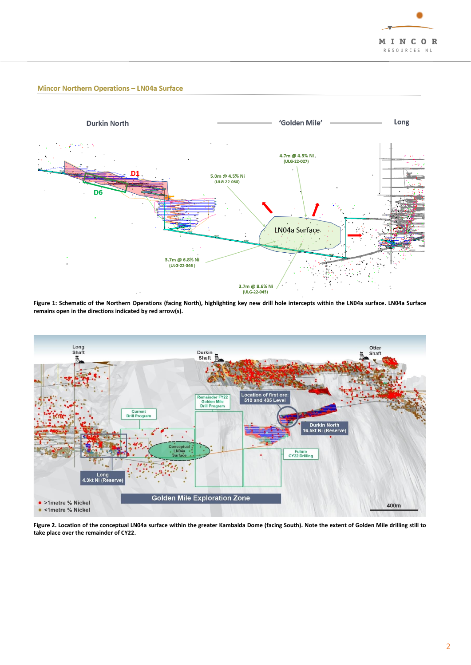

### **Mincor Northern Operations - LN04a Surface**



**Figure 1: Schematic of the Northern Operations (facing North), highlighting key new drill hole intercepts within the LN04a surface. LN04a Surface remains open in the directions indicated by red arrow(s).**



**Figure 2. Location of the conceptual LN04a surface within the greater Kambalda Dome (facing South). Note the extent of Golden Mile drilling still to take place over the remainder of CY22.**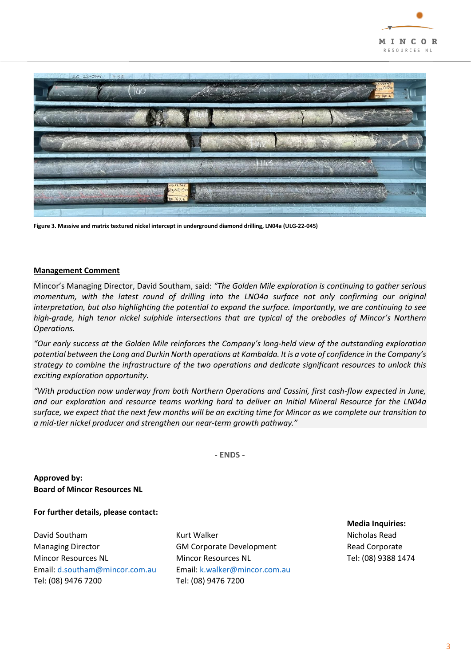



**Figure 3. Massive and matrix textured nickel intercept in underground diamond drilling, LN04a (ULG-22-045)** 

#### **Management Comment**

Mincor's Managing Director, David Southam, said: *"The Golden Mile exploration is continuing to gather serious momentum, with the latest round of drilling into the LNO4a surface not only confirming our original interpretation, but also highlighting the potential to expand the surface. Importantly, we are continuing to see high-grade, high tenor nickel sulphide intersections that are typical of the orebodies of Mincor's Northern Operations.*

*"Our early success at the Golden Mile reinforces the Company's long-held view of the outstanding exploration potential between the Long and Durkin North operations at Kambalda. It is a vote of confidence in the Company's strategy to combine the infrastructure of the two operations and dedicate significant resources to unlock this exciting exploration opportunity.*

*"With production now underway from both Northern Operations and Cassini, first cash-flow expected in June, and our exploration and resource teams working hard to deliver an Initial Mineral Resource for the LN04a surface, we expect that the next few months will be an exciting time for Mincor as we complete our transition to a mid-tier nickel producer and strengthen our near-term growth pathway."*

**- ENDS -**

**Approved by: Board of Mincor Resources NL**

**For further details, please contact:**

Managing Director **GM Corporate Development** Read Corporate Mincor Resources NL Mincor Resources NL Tel: (08) 9388 1474 Email[: d.southam@mincor.com.au](mailto:d.southam@mincor.com.au) Email: k.walker@mincor.com.au Tel: (08) 9476 7200 [Tel: \(08\)](tel:.(08)) 9476 7200

David Southam Nicholas Read Nicholas Read Nicholas Read Nicholas Read Nicholas Read Nicholas Read

**Media Inquiries:**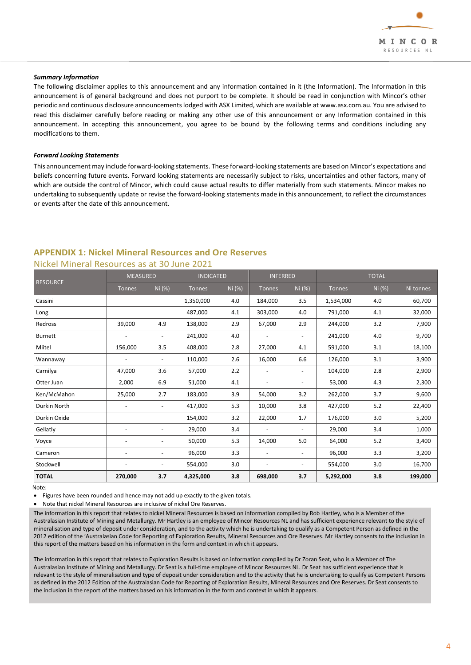

#### *Summary Information*

The following disclaimer applies to this announcement and any information contained in it (the Information). The Information in this announcement is of general background and does not purport to be complete. It should be read in conjunction with Mincor's other periodic and continuous disclosure announcements lodged with ASX Limited, which are available at www.asx.com.au. You are advised to read this disclaimer carefully before reading or making any other use of this announcement or any Information contained in this announcement. In accepting this announcement, you agree to be bound by the following terms and conditions including any modifications to them.

#### *Forward Looking Statements*

This announcement may include forward-looking statements. These forward-looking statements are based on Mincor's expectations and beliefs concerning future events. Forward looking statements are necessarily subject to risks, uncertainties and other factors, many of which are outside the control of Mincor, which could cause actual results to differ materially from such statements. Mincor makes no undertaking to subsequently update or revise the forward-looking statements made in this announcement, to reflect the circumstances or events after the date of this announcement.

# **APPENDIX 1: Nickel Mineral Resources and Ore Reserves**

| <b>RESOURCE</b> | <b>MEASURED</b>          |                          | <b>INDICATED</b> |        | <b>INFERRED</b> |                          | <b>TOTAL</b>  |        |           |
|-----------------|--------------------------|--------------------------|------------------|--------|-----------------|--------------------------|---------------|--------|-----------|
|                 | Tonnes                   | Ni (%)                   | Tonnes           | Ni (%) | <b>Tonnes</b>   | Ni (%)                   | <b>Tonnes</b> | Ni (%) | Ni tonnes |
| Cassini         |                          |                          | 1,350,000        | 4.0    | 184,000         | 3.5                      | 1,534,000     | 4.0    | 60,700    |
| Long            |                          |                          | 487,000          | 4.1    | 303,000         | 4.0                      | 791,000       | 4.1    | 32,000    |
| Redross         | 39,000                   | 4.9                      | 138,000          | 2.9    | 67,000          | 2.9                      | 244,000       | 3.2    | 7,900     |
| <b>Burnett</b>  | $\overline{\phantom{a}}$ | $\overline{\phantom{0}}$ | 241,000          | 4.0    |                 | $\overline{\phantom{a}}$ | 241,000       | 4.0    | 9,700     |
| Miitel          | 156,000                  | 3.5                      | 408,000          | 2.8    | 27,000          | 4.1                      | 591,000       | 3.1    | 18,100    |
| Wannaway        |                          | $\overline{\phantom{a}}$ | 110,000          | 2.6    | 16,000          | 6.6                      | 126,000       | 3.1    | 3,900     |
| Carnilya        | 47,000                   | 3.6                      | 57,000           | 2.2    |                 | $\overline{\phantom{a}}$ | 104,000       | 2.8    | 2,900     |
| Otter Juan      | 2,000                    | 6.9                      | 51,000           | 4.1    |                 |                          | 53,000        | 4.3    | 2,300     |
| Ken/McMahon     | 25,000                   | 2.7                      | 183,000          | 3.9    | 54,000          | 3.2                      | 262,000       | 3.7    | 9,600     |
| Durkin North    |                          | $\overline{\phantom{a}}$ | 417,000          | 5.3    | 10,000          | 3.8                      | 427,000       | 5.2    | 22,400    |
| Durkin Oxide    |                          |                          | 154,000          | 3.2    | 22,000          | 1.7                      | 176,000       | 3.0    | 5,200     |
| Gellatly        |                          | $\overline{\phantom{a}}$ | 29,000           | 3.4    |                 | $\overline{\phantom{a}}$ | 29,000        | 3.4    | 1,000     |
| Voyce           |                          | $\overline{\phantom{a}}$ | 50,000           | 5.3    | 14,000          | 5.0                      | 64,000        | 5.2    | 3,400     |
| Cameron         |                          | $\overline{\phantom{a}}$ | 96,000           | 3.3    |                 | $\overline{\phantom{a}}$ | 96,000        | 3.3    | 3,200     |
| Stockwell       |                          | $\overline{\phantom{a}}$ | 554,000          | 3.0    |                 |                          | 554,000       | 3.0    | 16,700    |
| <b>TOTAL</b>    | 270,000                  | 3.7                      | 4,325,000        | 3.8    | 698,000         | 3.7                      | 5,292,000     | 3.8    | 199,000   |

### Nickel Mineral Resources as at 30 June 2021

Note:

Figures have been rounded and hence may not add up exactly to the given totals.

• Note that nickel Mineral Resources are inclusive of nickel Ore Reserves.

The information in this report that relates to nickel Mineral Resources is based on information compiled by Rob Hartley, who is a Member of the Australasian Institute of Mining and Metallurgy. Mr Hartley is an employee of Mincor Resources NL and has sufficient experience relevant to the style of mineralisation and type of deposit under consideration, and to the activity which he is undertaking to qualify as a Competent Person as defined in the 2012 edition of the 'Australasian Code for Reporting of Exploration Results, Mineral Resources and Ore Reserves. Mr Hartley consents to the inclusion in this report of the matters based on his information in the form and context in which it appears.

The information in this report that relates to Exploration Results is based on information compiled by Dr Zoran Seat, who is a Member of The Australasian Institute of Mining and Metallurgy. Dr Seat is a full-time employee of Mincor Resources NL. Dr Seat has sufficient experience that is relevant to the style of mineralisation and type of deposit under consideration and to the activity that he is undertaking to qualify as Competent Persons as defined in the 2012 Edition of the Australasian Code for Reporting of Exploration Results, Mineral Resources and Ore Reserves. Dr Seat consents to the inclusion in the report of the matters based on his information in the form and context in which it appears.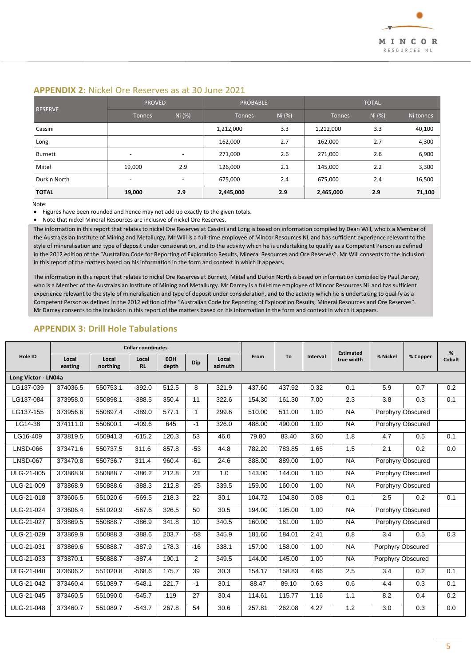### **APPENDIX 2:** Nickel Ore Reserves as at 30 June 2021

| <b>RESERVE</b> | <b>PROVED</b>            |                          | <b>PROBABLE</b> |        | <b>TOTAL</b>  |        |           |
|----------------|--------------------------|--------------------------|-----------------|--------|---------------|--------|-----------|
|                | <b>Tonnes</b>            | Ni (%)                   | <b>Tonnes</b>   | Ni (%) | <b>Tonnes</b> | Ni (%) | Ni tonnes |
| Cassini        |                          |                          | 1,212,000       | 3.3    | 1,212,000     | 3.3    | 40,100    |
| Long           |                          |                          | 162,000         | 2.7    | 162,000       | 2.7    | 4,300     |
| <b>Burnett</b> | $\overline{\phantom{a}}$ | $\overline{\phantom{a}}$ | 271,000         | 2.6    | 271,000       | 2.6    | 6,900     |
| Miitel         | 19.000                   | 2.9                      | 126,000         | 2.1    | 145.000       | 2.2    | 3,300     |
| Durkin North   | -                        | $\overline{\phantom{a}}$ | 675,000         | 2.4    | 675,000       | 2.4    | 16,500    |
| <b>TOTAL</b>   | 19,000                   | 2.9                      | 2,445,000       | 2.9    | 2,465,000     | 2.9    | 71,100    |

Note:

• Figures have been rounded and hence may not add up exactly to the given totals.

• Note that nickel Mineral Resources are inclusive of nickel Ore Reserves.

The information in this report that relates to nickel Ore Reserves at Cassini and Long is based on information compiled by Dean Will, who is a Member of the Australasian Institute of Mining and Metallurgy. Mr Will is a full-time employee of Mincor Resources NL and has sufficient experience relevant to the style of mineralisation and type of deposit under consideration, and to the activity which he is undertaking to qualify as a Competent Person as defined in the 2012 edition of the "Australian Code for Reporting of Exploration Results, Mineral Resources and Ore Reserves". Mr Will consents to the inclusion in this report of the matters based on his information in the form and context in which it appears.

The information in this report that relates to nickel Ore Reserves at Burnett, Miitel and Durkin North is based on information compiled by Paul Darcey, who is a Member of the Australasian Institute of Mining and Metallurgy. Mr Darcey is a full-time employee of Mincor Resources NL and has sufficient experience relevant to the style of mineralisation and type of deposit under consideration, and to the activity which he is undertaking to qualify as a Competent Person as defined in the 2012 edition of the "Australian Code for Reporting of Exploration Results, Mineral Resources and Ore Reserves". Mr Darcey consents to the inclusion in this report of the matters based on his information in the form and context in which it appears.

### **Hole ID Collar coordinates From To Interval Estimated true width % Nickel % Copper %**  Local | Local | Local | EOH | <sub>Din</sub> | Local | <sup>From</sup> | <sup>10</sup> | <sup>Interval</sup> | true-width | <sup>76</sup><sup>NICKEI</sup> | <sup>76</sup> Oper | Cobalt **easting Local northing Local RL EOH depth Dip Local azimuth Long Victor - LN04a** LG137-039 | 374036.5 | 550753.1 | -392.0 | 512.5 | 8 | 321.9 | 437.60 | 437.92 | 0.32 | 0.1 | 5.9 | 0.7 | 0.2 LG137-084 | 373958.0 | 550898.1 | -388.5 | 350.4 | 11 | 322.6 | 154.30 | 161.30 | 7.00 | 2.3 | 3.8 | 0.3 | 0.1 LG137-155 373956.6 550897.4 -389.0 577.1 1 299.6 510.00 511.00 1.00 NA Porphyry Obscured LG14-38 374111.0 550600.1 -409.6 645 -1 326.0 488.00 490.00 1.00 NA Porphyry Obscured LG16-409 | 373819.5 | 550941.3 | -615.2 | 120.3 | 53 | 46.0 | 79.80 | 83.40 | 3.60 | 1.8 | 4.7 | 0.5 | 0.1 LNSD-066 | 373471.6 | 550737.5 | 311.6 | 857.8 | -53 | -44.8 | 782.20 | 783.85 | -1.65 | ----1.5 | ----------LNSD-067 373470.8 550736.7 311.4 960.4 -61 24.6 888.00 889.00 1.00 NA Porphyry Obscured ULG-21-005 373868.9 550888.7 -386.2 212.8 23 1.0 143.00 144.00 1.00 NA Porphyry Obscured ULG-21-009 373868.9 550888.6 -388.3 212.8 -25 339.5 159.00 160.00 1.00 NA Porphyry Obscured ULG-21-018 | 373606.5 | 551020.6 | -569.5 | 218.3 | 22 | 30.1 | 104.72 | 104.80 | 0.08 | 0.1 | 2.5 | 0.2 | 0.1 ULG-21-024 373606.4 551020.9 -567.6 326.5 50 30.5 194.00 195.00 1.00 NA Porphyry Obscured ULG-21-027 373869.5 550888.7 -386.9 341.8 10 340.5 160.00 161.00 1.00 NA Porphyry Obscured ULG-21-029 | 373869.9 | 550888.3 | -388.6 | 203.7 | -58 | 345.9 | 181.60 | 184.01 | 2.41 | 0.8 | 3.4 | 0.5 | 0.3 ULG-21-031 373869.6 550888.7 -387.9 178.3 -16 338.1 157.00 158.00 1.00 NA Porphyry Obscured ULG-21-033 373870.1 550888.7 -387.4 190.1 2 349.5 144.00 145.00 1.00 NA Porphyry Obscured ULG-21-040 | 373606.2 | 551020.8 | -568.6 | 175.7 | 39 | 30.3 | 154.17 | 158.83 | 4.66 | 2.5 | 3.4 | 0.2 | 0.1 ULG-21-042 | 373460.4 | 551089.7 | -548.1 | 221.7 | -1 | 30.1 | 88.47 | 89.10 | 0.63 | 0.6 | 4.4 | 0.3 | 0.1 ULG-21-045 | 373460.5 | 551090.0 | -545.7 | 119 | 27 | 30.4 | 114.61 | 115.77 | 1.16 | 1.1 | 8.2 | 0.4 | 0.2 ULG-21-048 | 373460.7 | 551089.7 | -543.7 | 267.8 | 54 | 30.6 | 257.81 | 262.08 | 4.27 | 1.2 | 3.0 | 0.3 | 0.0

## **APPENDIX 3: Drill Hole Tabulations**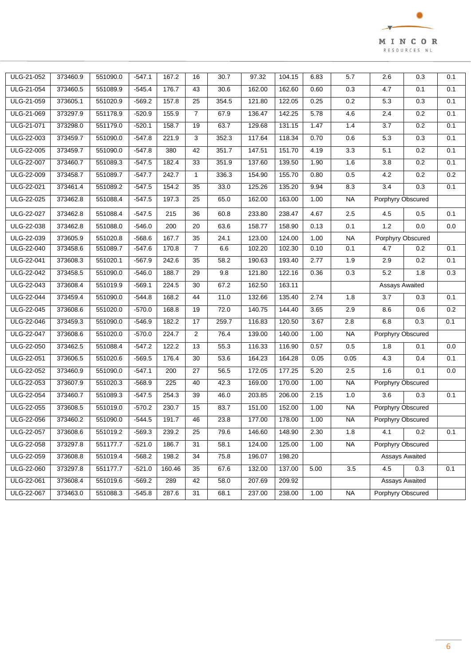

| ULG-21-052 | 373460.9 | 551090.0 | $-547.1$ | 167.2  | 16             | 30.7  | 97.32  | 104.15 | 6.83 | 5.7              | 2.6                   | 0.3            | 0.1 |
|------------|----------|----------|----------|--------|----------------|-------|--------|--------|------|------------------|-----------------------|----------------|-----|
| ULG-21-054 | 373460.5 | 551089.9 | $-545.4$ | 176.7  | 43             | 30.6  | 162.00 | 162.60 | 0.60 | 0.3              | 4.7                   | 0.1            | 0.1 |
| ULG-21-059 | 373605.1 | 551020.9 | $-569.2$ | 157.8  | 25             | 354.5 | 121.80 | 122.05 | 0.25 | 0.2              | 5.3                   | 0.3            | 0.1 |
| ULG-21-069 | 373297.9 | 551178.9 | $-520.9$ | 155.9  | $\overline{7}$ | 67.9  | 136.47 | 142.25 | 5.78 | 4.6              | 2.4                   | 0.2            | 0.1 |
| ULG-21-071 | 373298.0 | 551179.0 | $-520.1$ | 158.7  | 19             | 63.7  | 129.68 | 131.15 | 1.47 | 1.4              | 3.7                   | 0.2            | 0.1 |
| ULG-22-003 | 373459.7 | 551090.0 | $-547.8$ | 221.9  | 3              | 352.3 | 117.64 | 118.34 | 0.70 | 0.6              | 5.3                   | 0.3            | 0.1 |
| ULG-22-005 | 373459.7 | 551090.0 | $-547.8$ | 380    | 42             | 351.7 | 147.51 | 151.70 | 4.19 | 3.3              | 5.1                   | 0.2            | 0.1 |
| ULG-22-007 | 373460.7 | 551089.3 | $-547.5$ | 182.4  | 33             | 351.9 | 137.60 | 139.50 | 1.90 | 1.6              | $\overline{3.8}$      | 0.2            | 0.1 |
| ULG-22-009 | 373458.7 | 551089.7 | $-547.7$ | 242.7  | $\mathbf{1}$   | 336.3 | 154.90 | 155.70 | 0.80 | $0.5\,$          | 4.2                   | 0.2            | 0.2 |
| ULG-22-021 | 373461.4 | 551089.2 | $-547.5$ | 154.2  | 35             | 33.0  | 125.26 | 135.20 | 9.94 | 8.3              | 3.4                   | 0.3            | 0.1 |
| ULG-22-025 | 373462.8 | 551088.4 | $-547.5$ | 197.3  | 25             | 65.0  | 162.00 | 163.00 | 1.00 | <b>NA</b>        | Porphyry Obscured     |                |     |
| ULG-22-027 | 373462.8 | 551088.4 | $-547.5$ | 215    | 36             | 60.8  | 233.80 | 238.47 | 4.67 | 2.5              | 4.5                   | 0.5            | 0.1 |
| ULG-22-038 | 373462.8 | 551088.0 | $-546.0$ | 200    | 20             | 63.6  | 158.77 | 158.90 | 0.13 | 0.1              | 1.2                   | 0.0            | 0.0 |
| ULG-22-039 | 373605.9 | 551020.8 | $-568.6$ | 167.7  | 35             | 24.1  | 123.00 | 124.00 | 1.00 | NA               | Porphyry Obscured     |                |     |
| ULG-22-040 | 373458.6 | 551089.7 | $-547.6$ | 170.8  | $\overline{7}$ | 6.6   | 102.20 | 102.30 | 0.10 | 0.1              | 4.7                   | 0.2            | 0.1 |
| ULG-22-041 | 373608.3 | 551020.1 | $-567.9$ | 242.6  | 35             | 58.2  | 190.63 | 193.40 | 2.77 | 1.9              | 2.9                   | 0.2            | 0.1 |
| ULG-22-042 | 373458.5 | 551090.0 | $-546.0$ | 188.7  | 29             | 9.8   | 121.80 | 122.16 | 0.36 | $0.3\,$          | 5.2                   | 1.8            | 0.3 |
| ULG-22-043 | 373608.4 | 551019.9 | $-569.1$ | 224.5  | 30             | 67.2  | 162.50 | 163.11 |      |                  | <b>Assays Awaited</b> |                |     |
| ULG-22-044 | 373459.4 | 551090.0 | $-544.8$ | 168.2  | 44             | 11.0  | 132.66 | 135.40 | 2.74 | 1.8              | 3.7                   | 0.3            | 0.1 |
| ULG-22-045 | 373608.6 | 551020.0 | $-570.0$ | 168.8  | 19             | 72.0  | 140.75 | 144.40 | 3.65 | 2.9              | 8.6                   | 0.6            | 0.2 |
| ULG-22-046 | 373459.3 | 551090.0 | $-546.9$ | 182.2  | 17             | 259.7 | 116.83 | 120.50 | 3.67 | 2.8              | 6.8                   | 0.3            | 0.1 |
| ULG-22-047 | 373608.6 | 551020.0 | $-570.0$ | 224.7  | $\overline{2}$ | 76.4  | 139.00 | 140.00 | 1.00 | <b>NA</b>        | Porphyry Obscured     |                |     |
| ULG-22-050 | 373462.5 | 551088.4 | $-547.2$ | 122.2  | 13             | 55.3  | 116.33 | 116.90 | 0.57 | 0.5              | 1.8                   | 0.1            | 0.0 |
| ULG-22-051 | 373606.5 | 551020.6 | $-569.5$ | 176.4  | 30             | 53.6  | 164.23 | 164.28 | 0.05 | 0.05             | 4.3                   | 0.4            | 0.1 |
| ULG-22-052 | 373460.9 | 551090.0 | $-547.1$ | 200    | 27             | 56.5  | 172.05 | 177.25 | 5.20 | 2.5              | 1.6                   | 0.1            | 0.0 |
| ULG-22-053 | 373607.9 | 551020.3 | $-568.9$ | 225    | 40             | 42.3  | 169.00 | 170.00 | 1.00 | <b>NA</b>        | Porphyry Obscured     |                |     |
| ULG-22-054 | 373460.7 | 551089.3 | $-547.5$ | 254.3  | 39             | 46.0  | 203.85 | 206.00 | 2.15 | 1.0              | 3.6                   | 0.3            | 0.1 |
| ULG-22-055 | 373608.5 | 551019.0 | $-570.2$ | 230.7  | 15             | 83.7  | 151.00 | 152.00 | 1.00 | <b>NA</b>        | Porphyry Obscured     |                |     |
| ULG-22-056 | 373460.2 | 551090.0 | $-544.5$ | 191.7  | 46             | 23.8  | 177.00 | 178.00 | 1.00 | <b>NA</b>        | Porphyry Obscured     |                |     |
| ULG-22-057 | 373608.6 | 551019.2 | $-569.3$ | 239.2  | 25             | 79.6  | 146.60 | 148.90 | 2.30 | 1.8              | 4.1                   | 0.2            | 0.1 |
| ULG-22-058 | 373297.8 | 551177.7 | $-521.0$ | 186.7  | 31             | 58.1  | 124.00 | 125.00 | 1.00 | <b>NA</b>        | Porphyry Obscured     |                |     |
| ULG-22-059 | 373608.8 | 551019.4 | $-568.2$ | 198.2  | 34             | 75.8  | 196.07 | 198.20 |      |                  |                       | Assays Awaited |     |
| ULG-22-060 | 373297.8 | 551177.7 | $-521.0$ | 160.46 | 35             | 67.6  | 132.00 | 137.00 | 5.00 | $\overline{3.5}$ | 4.5                   | 0.3            | 0.1 |
| ULG-22-061 | 373608.4 | 551019.6 | $-569.2$ | 289    | 42             | 58.0  | 207.69 | 209.92 |      |                  |                       | Assays Awaited |     |
| ULG-22-067 | 373463.0 | 551088.3 | $-545.8$ | 287.6  | 31             | 68.1  | 237.00 | 238.00 | 1.00 | <b>NA</b>        | Porphyry Obscured     |                |     |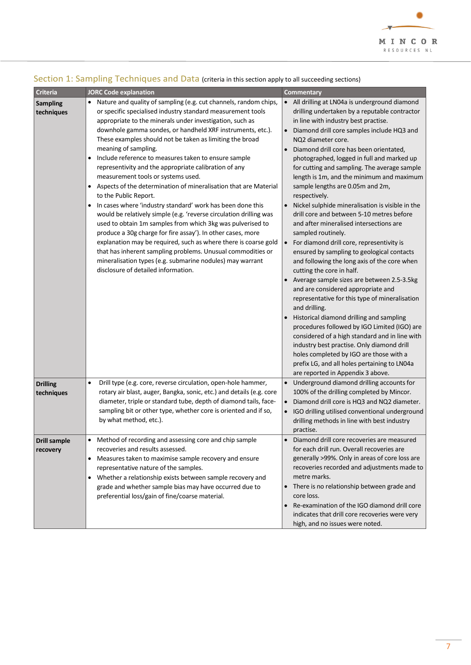

| <b>Criteria</b>               | <b>JORC Code explanation</b>                                                                                                                                                                                                                                                                                                                                                                                                                                                                                                                                                                                                                                                                                                                                                                                                                                                                                                                                                                                                                                                                                                                         | <b>Commentary</b>                                                                                                                                                                                                                                                                                                                                                                                                                                                                                                                                                                                                                                                                                                                                                                                                                                                                                                                                                                                                                                                                                                                                                                                                                                                                                                                         |
|-------------------------------|------------------------------------------------------------------------------------------------------------------------------------------------------------------------------------------------------------------------------------------------------------------------------------------------------------------------------------------------------------------------------------------------------------------------------------------------------------------------------------------------------------------------------------------------------------------------------------------------------------------------------------------------------------------------------------------------------------------------------------------------------------------------------------------------------------------------------------------------------------------------------------------------------------------------------------------------------------------------------------------------------------------------------------------------------------------------------------------------------------------------------------------------------|-------------------------------------------------------------------------------------------------------------------------------------------------------------------------------------------------------------------------------------------------------------------------------------------------------------------------------------------------------------------------------------------------------------------------------------------------------------------------------------------------------------------------------------------------------------------------------------------------------------------------------------------------------------------------------------------------------------------------------------------------------------------------------------------------------------------------------------------------------------------------------------------------------------------------------------------------------------------------------------------------------------------------------------------------------------------------------------------------------------------------------------------------------------------------------------------------------------------------------------------------------------------------------------------------------------------------------------------|
| <b>Sampling</b><br>techniques | Nature and quality of sampling (e.g. cut channels, random chips,<br>٠<br>or specific specialised industry standard measurement tools<br>appropriate to the minerals under investigation, such as<br>downhole gamma sondes, or handheld XRF instruments, etc.).<br>These examples should not be taken as limiting the broad<br>meaning of sampling.<br>Include reference to measures taken to ensure sample<br>$\bullet$<br>representivity and the appropriate calibration of any<br>measurement tools or systems used.<br>Aspects of the determination of mineralisation that are Material<br>$\bullet$<br>to the Public Report.<br>In cases where 'industry standard' work has been done this<br>$\bullet$<br>would be relatively simple (e.g. 'reverse circulation drilling was<br>used to obtain 1m samples from which 3kg was pulverised to<br>produce a 30g charge for fire assay'). In other cases, more<br>explanation may be required, such as where there is coarse gold<br>that has inherent sampling problems. Unusual commodities or<br>mineralisation types (e.g. submarine nodules) may warrant<br>disclosure of detailed information. | • All drilling at LN04a is underground diamond<br>drilling undertaken by a reputable contractor<br>in line with industry best practise.<br>Diamond drill core samples include HQ3 and<br>$\bullet$<br>NQ2 diameter core.<br>Diamond drill core has been orientated,<br>$\bullet$<br>photographed, logged in full and marked up<br>for cutting and sampling. The average sample<br>length is 1m, and the minimum and maximum<br>sample lengths are 0.05m and 2m,<br>respectively.<br>Nickel sulphide mineralisation is visible in the<br>$\bullet$<br>drill core and between 5-10 metres before<br>and after mineralised intersections are<br>sampled routinely.<br>For diamond drill core, representivity is<br>$\bullet$<br>ensured by sampling to geological contacts<br>and following the long axis of the core when<br>cutting the core in half.<br>• Average sample sizes are between 2.5-3.5kg<br>and are considered appropriate and<br>representative for this type of mineralisation<br>and drilling.<br>Historical diamond drilling and sampling<br>procedures followed by IGO Limited (IGO) are<br>considered of a high standard and in line with<br>industry best practise. Only diamond drill<br>holes completed by IGO are those with a<br>prefix LG, and all holes pertaining to LN04a<br>are reported in Appendix 3 above. |
| <b>Drilling</b><br>techniques | Drill type (e.g. core, reverse circulation, open-hole hammer,<br>rotary air blast, auger, Bangka, sonic, etc.) and details (e.g. core<br>diameter, triple or standard tube, depth of diamond tails, face-<br>sampling bit or other type, whether core is oriented and if so,<br>by what method, etc.).                                                                                                                                                                                                                                                                                                                                                                                                                                                                                                                                                                                                                                                                                                                                                                                                                                               | • Underground diamond drilling accounts for<br>100% of the drilling completed by Mincor.<br>Diamond drill core is HQ3 and NQ2 diameter.<br>$\bullet$<br>IGO drilling utilised conventional underground<br>$\bullet$<br>drilling methods in line with best industry<br>practise.                                                                                                                                                                                                                                                                                                                                                                                                                                                                                                                                                                                                                                                                                                                                                                                                                                                                                                                                                                                                                                                           |
| Drill sample<br>recovery      | Method of recording and assessing core and chip sample<br>recoveries and results assessed.<br>Measures taken to maximise sample recovery and ensure<br>$\bullet$<br>representative nature of the samples.<br>Whether a relationship exists between sample recovery and<br>٠<br>grade and whether sample bias may have occurred due to<br>preferential loss/gain of fine/coarse material.                                                                                                                                                                                                                                                                                                                                                                                                                                                                                                                                                                                                                                                                                                                                                             | Diamond drill core recoveries are measured<br>for each drill run. Overall recoveries are<br>generally >99%. Only in areas of core loss are<br>recoveries recorded and adjustments made to<br>metre marks.<br>• There is no relationship between grade and<br>core loss.<br>Re-examination of the IGO diamond drill core<br>indicates that drill core recoveries were very<br>high, and no issues were noted.                                                                                                                                                                                                                                                                                                                                                                                                                                                                                                                                                                                                                                                                                                                                                                                                                                                                                                                              |

# Section 1: Sampling Techniques and Data (criteria in this section apply to all succeeding sections)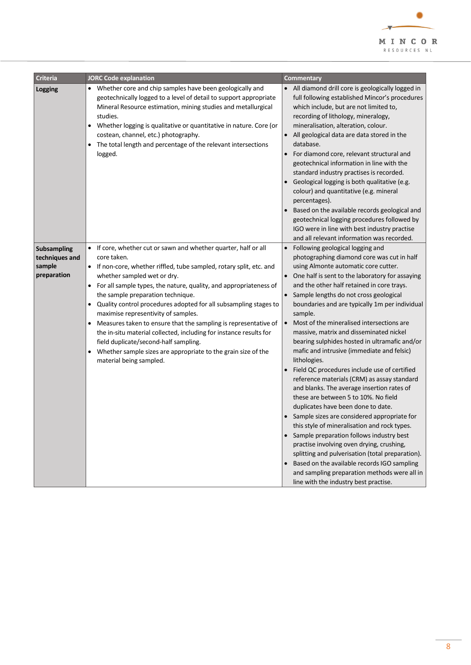

| <b>Criteria</b>                                               | <b>JORC Code explanation</b>                                                                                                                                                                                                                                                                                                                                                                                                                                                                                                                                                                                                                                                                                              | <b>Commentary</b>                                                                                                                                                                                                                                                                                                                                                                                                                                                                                                                                                                                                                                                                                                                                                                                                                                                                                                                                                                                                                                                                                                                                                                                                                  |
|---------------------------------------------------------------|---------------------------------------------------------------------------------------------------------------------------------------------------------------------------------------------------------------------------------------------------------------------------------------------------------------------------------------------------------------------------------------------------------------------------------------------------------------------------------------------------------------------------------------------------------------------------------------------------------------------------------------------------------------------------------------------------------------------------|------------------------------------------------------------------------------------------------------------------------------------------------------------------------------------------------------------------------------------------------------------------------------------------------------------------------------------------------------------------------------------------------------------------------------------------------------------------------------------------------------------------------------------------------------------------------------------------------------------------------------------------------------------------------------------------------------------------------------------------------------------------------------------------------------------------------------------------------------------------------------------------------------------------------------------------------------------------------------------------------------------------------------------------------------------------------------------------------------------------------------------------------------------------------------------------------------------------------------------|
| <b>Logging</b>                                                | • Whether core and chip samples have been geologically and<br>geotechnically logged to a level of detail to support appropriate<br>Mineral Resource estimation, mining studies and metallurgical<br>studies.<br>Whether logging is qualitative or quantitative in nature. Core (or<br>$\bullet$<br>costean, channel, etc.) photography.<br>The total length and percentage of the relevant intersections<br>$\bullet$<br>logged.                                                                                                                                                                                                                                                                                          | All diamond drill core is geologically logged in<br>$\bullet$<br>full following established Mincor's procedures<br>which include, but are not limited to,<br>recording of lithology, mineralogy,<br>mineralisation, alteration, colour.<br>All geological data are data stored in the<br>$\bullet$<br>database.<br>For diamond core, relevant structural and<br>$\bullet$<br>geotechnical information in line with the<br>standard industry practises is recorded.<br>Geological logging is both qualitative (e.g.<br>colour) and quantitative (e.g. mineral<br>percentages).<br>Based on the available records geological and<br>geotechnical logging procedures followed by<br>IGO were in line with best industry practise<br>and all relevant information was recorded.                                                                                                                                                                                                                                                                                                                                                                                                                                                        |
| <b>Subsampling</b><br>techniques and<br>sample<br>preparation | • If core, whether cut or sawn and whether quarter, half or all<br>core taken.<br>• If non-core, whether riffled, tube sampled, rotary split, etc. and<br>whether sampled wet or dry.<br>• For all sample types, the nature, quality, and appropriateness of<br>the sample preparation technique.<br>Quality control procedures adopted for all subsampling stages to<br>$\bullet$<br>maximise representivity of samples.<br>Measures taken to ensure that the sampling is representative of<br>٠<br>the in-situ material collected, including for instance results for<br>field duplicate/second-half sampling.<br>Whether sample sizes are appropriate to the grain size of the<br>$\bullet$<br>material being sampled. | Following geological logging and<br>$\bullet$<br>photographing diamond core was cut in half<br>using Almonte automatic core cutter.<br>One half is sent to the laboratory for assaying<br>$\bullet$<br>and the other half retained in core trays.<br>Sample lengths do not cross geological<br>$\bullet$<br>boundaries and are typically 1m per individual<br>sample.<br>Most of the mineralised intersections are<br>$\bullet$<br>massive, matrix and disseminated nickel<br>bearing sulphides hosted in ultramafic and/or<br>mafic and intrusive (immediate and felsic)<br>lithologies.<br>Field QC procedures include use of certified<br>$\bullet$<br>reference materials (CRM) as assay standard<br>and blanks. The average insertion rates of<br>these are between 5 to 10%. No field<br>duplicates have been done to date.<br>Sample sizes are considered appropriate for<br>this style of mineralisation and rock types.<br>Sample preparation follows industry best<br>$\bullet$<br>practise involving oven drying, crushing,<br>splitting and pulverisation (total preparation).<br>Based on the available records IGO sampling<br>and sampling preparation methods were all in<br>line with the industry best practise. |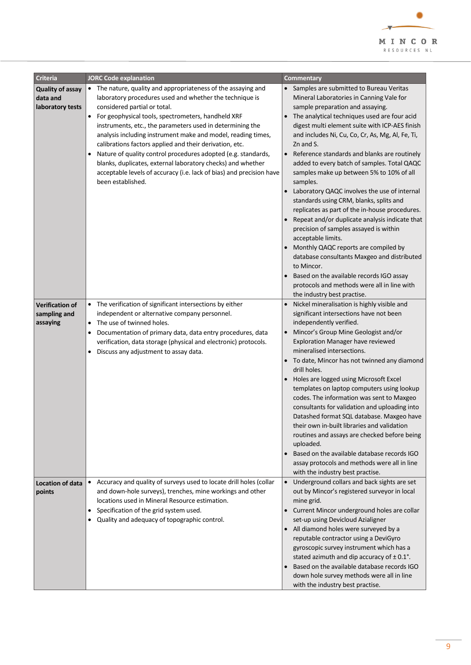

| <b>Criteria</b>                                                                   | <b>JORC Code explanation</b>                                                                                                                                                                                                                                                                                                                                                                                                                                                                                                                                                                                                                                                                                  | Commentary                                                                                                                                                                                                                                                                                                                                                                                                                                                                                                                                                                                                                                                                                                                                                                                                                                                                                                                                                                                                                 |
|-----------------------------------------------------------------------------------|---------------------------------------------------------------------------------------------------------------------------------------------------------------------------------------------------------------------------------------------------------------------------------------------------------------------------------------------------------------------------------------------------------------------------------------------------------------------------------------------------------------------------------------------------------------------------------------------------------------------------------------------------------------------------------------------------------------|----------------------------------------------------------------------------------------------------------------------------------------------------------------------------------------------------------------------------------------------------------------------------------------------------------------------------------------------------------------------------------------------------------------------------------------------------------------------------------------------------------------------------------------------------------------------------------------------------------------------------------------------------------------------------------------------------------------------------------------------------------------------------------------------------------------------------------------------------------------------------------------------------------------------------------------------------------------------------------------------------------------------------|
| <b>Quality of assay</b><br>data and<br>laboratory tests<br><b>Verification of</b> | • The nature, quality and appropriateness of the assaying and<br>laboratory procedures used and whether the technique is<br>considered partial or total.<br>For geophysical tools, spectrometers, handheld XRF<br>$\bullet$<br>instruments, etc., the parameters used in determining the<br>analysis including instrument make and model, reading times,<br>calibrations factors applied and their derivation, etc.<br>Nature of quality control procedures adopted (e.g. standards,<br>blanks, duplicates, external laboratory checks) and whether<br>acceptable levels of accuracy (i.e. lack of bias) and precision have<br>been established.<br>• The verification of significant intersections by either | • Samples are submitted to Bureau Veritas<br>Mineral Laboratories in Canning Vale for<br>sample preparation and assaying.<br>The analytical techniques used are four acid<br>digest multi element suite with ICP-AES finish<br>and includes Ni, Cu, Co, Cr, As, Mg, Al, Fe, Ti,<br>Zn and S.<br>Reference standards and blanks are routinely<br>$\bullet$<br>added to every batch of samples. Total QAQC<br>samples make up between 5% to 10% of all<br>samples.<br>Laboratory QAQC involves the use of internal<br>standards using CRM, blanks, splits and<br>replicates as part of the in-house procedures.<br>Repeat and/or duplicate analysis indicate that<br>precision of samples assayed is within<br>acceptable limits.<br>Monthly QAQC reports are compiled by<br>database consultants Maxgeo and distributed<br>to Mincor.<br>Based on the available records IGO assay<br>protocols and methods were all in line with<br>the industry best practise.<br>Nickel mineralisation is highly visible and<br>$\bullet$ |
| sampling and<br>assaying                                                          | independent or alternative company personnel.<br>The use of twinned holes.<br>$\bullet$<br>Documentation of primary data, data entry procedures, data<br>$\bullet$<br>verification, data storage (physical and electronic) protocols.<br>Discuss any adjustment to assay data.<br>$\bullet$                                                                                                                                                                                                                                                                                                                                                                                                                   | significant intersections have not been<br>independently verified.<br>Mincor's Group Mine Geologist and/or<br>$\bullet$<br>Exploration Manager have reviewed<br>mineralised intersections.<br>To date, Mincor has not twinned any diamond<br>drill holes.<br>Holes are logged using Microsoft Excel<br>templates on laptop computers using lookup<br>codes. The information was sent to Maxgeo<br>consultants for validation and uploading into<br>Datashed format SQL database. Maxgeo have<br>their own in-built libraries and validation<br>routines and assays are checked before being<br>uploaded.<br>Based on the available database records IGO<br>$\bullet$<br>assay protocols and methods were all in line<br>with the industry best practise.                                                                                                                                                                                                                                                                   |
| <b>Location of data</b><br>points                                                 | • Accuracy and quality of surveys used to locate drill holes (collar<br>and down-hole surveys), trenches, mine workings and other<br>locations used in Mineral Resource estimation.<br>Specification of the grid system used.<br>٠<br>Quality and adequacy of topographic control.<br>$\bullet$                                                                                                                                                                                                                                                                                                                                                                                                               | Underground collars and back sights are set<br>$\bullet$<br>out by Mincor's registered surveyor in local<br>mine grid.<br>Current Mincor underground holes are collar<br>$\bullet$<br>set-up using Devicloud Azialigner<br>• All diamond holes were surveyed by a<br>reputable contractor using a DeviGyro<br>gyroscopic survey instrument which has a<br>stated azimuth and dip accuracy of ±0.1°.<br>Based on the available database records IGO<br>down hole survey methods were all in line<br>with the industry best practise.                                                                                                                                                                                                                                                                                                                                                                                                                                                                                        |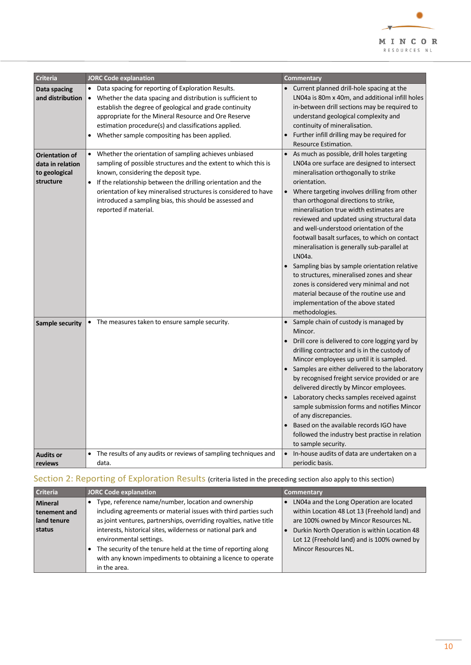

| <b>Criteria</b>                                                         | <b>JORC Code explanation</b>                                                                                                                                                                                                                                                                                                                                                                | Commentary                                                                                                                                                                                                                                                                                                                                                                                                                                                                                                                                                                                                                                                                                                                                                      |
|-------------------------------------------------------------------------|---------------------------------------------------------------------------------------------------------------------------------------------------------------------------------------------------------------------------------------------------------------------------------------------------------------------------------------------------------------------------------------------|-----------------------------------------------------------------------------------------------------------------------------------------------------------------------------------------------------------------------------------------------------------------------------------------------------------------------------------------------------------------------------------------------------------------------------------------------------------------------------------------------------------------------------------------------------------------------------------------------------------------------------------------------------------------------------------------------------------------------------------------------------------------|
| Data spacing<br>and distribution                                        | • Data spacing for reporting of Exploration Results.<br>• Whether the data spacing and distribution is sufficient to<br>establish the degree of geological and grade continuity<br>appropriate for the Mineral Resource and Ore Reserve<br>estimation procedure(s) and classifications applied.<br>Whether sample compositing has been applied.<br>$\bullet$                                | • Current planned drill-hole spacing at the<br>LN04a is 80m x 40m, and additional infill holes<br>in-between drill sections may be required to<br>understand geological complexity and<br>continuity of mineralisation.<br>Further infill drilling may be required for<br>$\bullet$<br>Resource Estimation.                                                                                                                                                                                                                                                                                                                                                                                                                                                     |
| <b>Orientation of</b><br>data in relation<br>to geological<br>structure | • Whether the orientation of sampling achieves unbiased<br>sampling of possible structures and the extent to which this is<br>known, considering the deposit type.<br>• If the relationship between the drilling orientation and the<br>orientation of key mineralised structures is considered to have<br>introduced a sampling bias, this should be assessed and<br>reported if material. | As much as possible, drill holes targeting<br>$\bullet$<br>LN04a ore surface are designed to intersect<br>mineralisation orthogonally to strike<br>orientation.<br>Where targeting involves drilling from other<br>$\bullet$<br>than orthogonal directions to strike,<br>mineralisation true width estimates are<br>reviewed and updated using structural data<br>and well-understood orientation of the<br>footwall basalt surfaces, to which on contact<br>mineralisation is generally sub-parallel at<br>LN04a.<br>Sampling bias by sample orientation relative<br>to structures, mineralised zones and shear<br>zones is considered very minimal and not<br>material because of the routine use and<br>implementation of the above stated<br>methodologies. |
| <b>Sample security</b>                                                  | • The measures taken to ensure sample security.                                                                                                                                                                                                                                                                                                                                             | Sample chain of custody is managed by<br>$\bullet$<br>Mincor.<br>Drill core is delivered to core logging yard by<br>drilling contractor and is in the custody of<br>Mincor employees up until it is sampled.<br>Samples are either delivered to the laboratory<br>$\bullet$<br>by recognised freight service provided or are<br>delivered directly by Mincor employees.<br>Laboratory checks samples received against<br>sample submission forms and notifies Mincor<br>of any discrepancies.<br>Based on the available records IGO have<br>$\bullet$<br>followed the industry best practise in relation<br>to sample security.                                                                                                                                 |
| <b>Audits or</b><br>reviews                                             | • The results of any audits or reviews of sampling techniques and<br>data.                                                                                                                                                                                                                                                                                                                  | In-house audits of data are undertaken on a<br>$\bullet$<br>periodic basis.                                                                                                                                                                                                                                                                                                                                                                                                                                                                                                                                                                                                                                                                                     |

# Section 2: Reporting of Exploration Results (criteria listed in the preceding section also apply to this section)

| Criteria                                                | <b>JORC Code explanation</b>                                                                                                                                                                                                                                                                                                                                                                                               | Commentary                                                                                                                                                                                                                                                        |
|---------------------------------------------------------|----------------------------------------------------------------------------------------------------------------------------------------------------------------------------------------------------------------------------------------------------------------------------------------------------------------------------------------------------------------------------------------------------------------------------|-------------------------------------------------------------------------------------------------------------------------------------------------------------------------------------------------------------------------------------------------------------------|
| <b>Mineral</b><br>tenement and<br>land tenure<br>status | Type, reference name/number, location and ownership<br>including agreements or material issues with third parties such<br>as joint ventures, partnerships, overriding royalties, native title<br>interests, historical sites, wilderness or national park and<br>environmental settings.<br>The security of the tenure held at the time of reporting along<br>with any known impediments to obtaining a licence to operate | LN04a and the Long Operation are located<br>within Location 48 Lot 13 (Freehold land) and<br>are 100% owned by Mincor Resources NL.<br>Durkin North Operation is within Location 48<br>Lot 12 (Freehold land) and is 100% owned by<br><b>Mincor Resources NL.</b> |
|                                                         | in the area.                                                                                                                                                                                                                                                                                                                                                                                                               |                                                                                                                                                                                                                                                                   |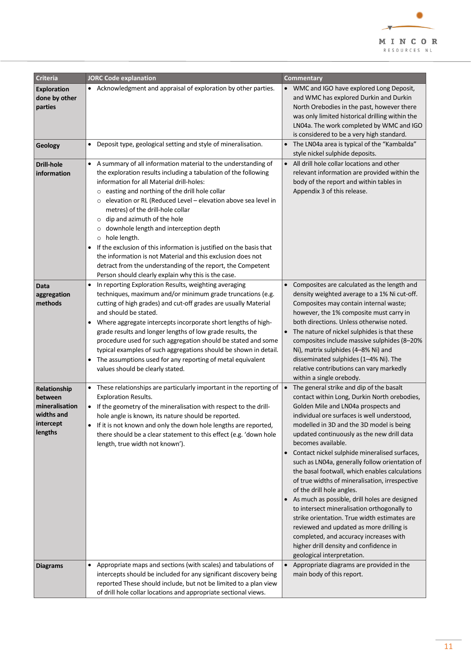

| <b>Criteria</b>                                                                 | <b>JORC Code explanation</b>                                                                                                                                                                                                                                                                                                                                                                                                                                                                                                                                                                                                                                                                                                                            | <b>Commentary</b>                                                                                                                                                                                                                                                                                                                                                                                                                                                                                                                                                                                                                                                                                                                                                                                                                                             |
|---------------------------------------------------------------------------------|---------------------------------------------------------------------------------------------------------------------------------------------------------------------------------------------------------------------------------------------------------------------------------------------------------------------------------------------------------------------------------------------------------------------------------------------------------------------------------------------------------------------------------------------------------------------------------------------------------------------------------------------------------------------------------------------------------------------------------------------------------|---------------------------------------------------------------------------------------------------------------------------------------------------------------------------------------------------------------------------------------------------------------------------------------------------------------------------------------------------------------------------------------------------------------------------------------------------------------------------------------------------------------------------------------------------------------------------------------------------------------------------------------------------------------------------------------------------------------------------------------------------------------------------------------------------------------------------------------------------------------|
| <b>Exploration</b><br>done by other<br>parties                                  | • Acknowledgment and appraisal of exploration by other parties.                                                                                                                                                                                                                                                                                                                                                                                                                                                                                                                                                                                                                                                                                         | • WMC and IGO have explored Long Deposit,<br>and WMC has explored Durkin and Durkin<br>North Orebodies in the past, however there<br>was only limited historical drilling within the<br>LN04a. The work completed by WMC and IGO<br>is considered to be a very high standard.                                                                                                                                                                                                                                                                                                                                                                                                                                                                                                                                                                                 |
| Geology                                                                         | Deposit type, geological setting and style of mineralisation.<br>$\bullet$                                                                                                                                                                                                                                                                                                                                                                                                                                                                                                                                                                                                                                                                              | • The LN04a area is typical of the "Kambalda"<br>style nickel sulphide deposits.                                                                                                                                                                                                                                                                                                                                                                                                                                                                                                                                                                                                                                                                                                                                                                              |
| Drill-hole<br>information                                                       | A summary of all information material to the understanding of<br>$\bullet$<br>the exploration results including a tabulation of the following<br>information for all Material drill-holes:<br>o easting and northing of the drill hole collar<br>elevation or RL (Reduced Level - elevation above sea level in<br>$\circ$<br>metres) of the drill-hole collar<br>dip and azimuth of the hole<br>$\circ$<br>downhole length and interception depth<br>$\circ$<br>o hole length.<br>If the exclusion of this information is justified on the basis that<br>$\bullet$<br>the information is not Material and this exclusion does not<br>detract from the understanding of the report, the Competent<br>Person should clearly explain why this is the case. | • All drill hole collar locations and other<br>relevant information are provided within the<br>body of the report and within tables in<br>Appendix 3 of this release.                                                                                                                                                                                                                                                                                                                                                                                                                                                                                                                                                                                                                                                                                         |
| <b>Data</b><br>aggregation<br>methods                                           | In reporting Exploration Results, weighting averaging<br>$\bullet$<br>techniques, maximum and/or minimum grade truncations (e.g.<br>cutting of high grades) and cut-off grades are usually Material<br>and should be stated.<br>Where aggregate intercepts incorporate short lengths of high-<br>٠<br>grade results and longer lengths of low grade results, the<br>procedure used for such aggregation should be stated and some<br>typical examples of such aggregations should be shown in detail.<br>The assumptions used for any reporting of metal equivalent<br>$\bullet$<br>values should be clearly stated.                                                                                                                                    | Composites are calculated as the length and<br>$\bullet$<br>density weighted average to a 1% Ni cut-off.<br>Composites may contain internal waste;<br>however, the 1% composite must carry in<br>both directions. Unless otherwise noted.<br>• The nature of nickel sulphides is that these<br>composites include massive sulphides (8-20%<br>Ni), matrix sulphides (4-8% Ni) and<br>disseminated sulphides (1-4% Ni). The<br>relative contributions can vary markedly<br>within a single orebody.                                                                                                                                                                                                                                                                                                                                                            |
| Relationship<br>between<br>mineralisation<br>widths and<br>intercept<br>lengths | • These relationships are particularly important in the reporting of<br><b>Exploration Results.</b><br>• If the geometry of the mineralisation with respect to the drill-<br>hole angle is known, its nature should be reported.<br>If it is not known and only the down hole lengths are reported,<br>there should be a clear statement to this effect (e.g. 'down hole<br>length, true width not known').                                                                                                                                                                                                                                                                                                                                             | The general strike and dip of the basalt<br>$\bullet$<br>contact within Long, Durkin North orebodies,<br>Golden Mile and LN04a prospects and<br>individual ore surfaces is well understood,<br>modelled in 3D and the 3D model is being<br>updated continuously as the new drill data<br>becomes available.<br>Contact nickel sulphide mineralised surfaces,<br>such as LN04a, generally follow orientation of<br>the basal footwall, which enables calculations<br>of true widths of mineralisation, irrespective<br>of the drill hole angles.<br>As much as possible, drill holes are designed<br>to intersect mineralisation orthogonally to<br>strike orientation. True width estimates are<br>reviewed and updated as more drilling is<br>completed, and accuracy increases with<br>higher drill density and confidence in<br>geological interpretation. |
| <b>Diagrams</b>                                                                 | Appropriate maps and sections (with scales) and tabulations of<br>$\bullet$<br>intercepts should be included for any significant discovery being<br>reported These should include, but not be limited to a plan view<br>of drill hole collar locations and appropriate sectional views.                                                                                                                                                                                                                                                                                                                                                                                                                                                                 | Appropriate diagrams are provided in the<br>$\bullet$<br>main body of this report.                                                                                                                                                                                                                                                                                                                                                                                                                                                                                                                                                                                                                                                                                                                                                                            |